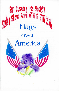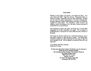#### WELCOME

Welcome to Sun Country Iris Society's 31st Spring Iris Show! This year's theme is Iris 2002 - Flags Over America. This patriotic theme is a tribute to our flags. Historically irises have been called flags. We hope you will enjoy the artistic interpretations of our flower arrangements. Some fun categories (Yankee Doodle Dandies and Flags of Freedom) are available for youth entries. Our horticulture, artistic divisions and collection entries will enlighten you to the many varieties and types of iris that thrive in our desert climate.

This competition is open to the public. Our thanks go to Arizona Mills management for all their hospitality and support. We are pleased to present this show to the patrons of Arizona Mills and other members of the public.

Sun Country Iris Society members have worked hard during the year to raise funds necessary to make this show possible. Our Spring Show Committee members have taken additional time and energy to make this ' show enjoyable for all. We are pleased to present this show for your enjoyment.

A very Poling, 2002 Show Chairman Patrick Orr, Co-Chair

To learn more about Sun Country Iris Sotiety, you are welcome to attend one of our monthly meetings. Our meetings are first Tuesday of the month, 7:00 pm at The Valley Garden Center 1809 North 15th Avenue Phoenix, Arizona For more information, please call AI Sturgeon 602 993-9253.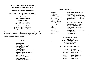# SUN COUNTRY IRIS SOCIETY

An affiliate of the American Iris Society

Presents Our 31st Annual Spring Iris Show

# Iris 2002 - Flags Over America

Arizona Mills 5000 Arizona Mills Circle Tempe, Arizona ..

April 6th and 7th, 2002

Free Exhibit to the Public Saturday, 1:00 p.m. - 5:00 p.m. Sunday, 12:00 Noon - 4:00 p.m.

This is an American Iris Society sanctioned show, conducted according to AIS rules and regulations, and judged according to AIS rules. Sun Country Iris Society assumes no responsibility for loss or damage, but will do all possible to safeguard exhibits.

#### INDEX

General Rules **Entry Tag Information** Horticulture Division **Seedling Division** Youth Division Education Division Commercial Display Division AISAwards SCISAwards Premium Contributors Gift Certificates Membership Information

# SHOW COMMITTEE

Chairman Co-Chairman Schedule Secretary/AIS Awards SCIS Awards Staging/Set-up/Properties Entry and Placement: **Horticulture Artistic** Judges Clerks Hospitality Publicity Artistic Concepts Clean-up

Avery Poling (623) 815-3503 Patrick Orr (623) 925-9615 Lorna E. Corlett (092) 944-7665 LynnAlison Martin (623) 535-9712 Jeannie Comeaux (602) 862-1135 Show Committee

Patrick Orr (623) 925-9615 Joyce Poling (623) 815-3503 Ardi Kary (480) 949-0253 Sandy Tarango (623) 936-5872 SCIS Members Jeannie Comeaux (602) 862-1135 Show Committee All Society Members

The Show Awards Banquet Will be May 7th At the Valley Garden Center 1809 North 15<sup>th</sup> Avenue Phoenix Arizona

#### SUN COUNTRY OFFICERS - 2002

President Vice President LynnAlison Martin **Secretary Treasurer Director Director Director** Ardi Kary Lorna Corlett Al Sturgeon Francelle Edwards Jeannie Comeaux Avery Poling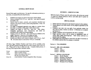### GENERAL SHOW RULES

General Rules apply to all divisions. For specific information pertaining to your entry, see special Rules for that Division.

- 9. Exhibition privileges are open to all persons without charge.
- 10. Entries accepted 6:00-9:30 a.m., April 6th. Late entries accepted for display only.
- 11. Entries must be clearly, correctly, and completely identified and  $\cdot$ entered in the proper division, section and group/class; or they will not be judged.
- 12. No judge or designated apprentice may judge in a section where the judge or a member of the judge's family has an entry.
- 13. Judging will begin at 10:00 a.m., April 6th. Only judges, designated apprentices, show chairpersons, and clerks are permitted in the exhibit area during judging.
- 14. Judging will be by AIS rules. Any award may be withheld at the judges' discretion. Decisions of the judges are final.
- 15. Official AIS rules and regulations cannot be violated.
- 16. Exhibits and ribbons must remain on display until 4:00 p.m., April 7th. All entries must be removed by 5:00 p.m. on that date.

AIS Entry Tags, Exhibitor Numbers and Forms will be available at the April 2nd SCIS general meeting and at the show location from 6:00-9:30 a.m. Please print in blue or black ink only. Complete both portions of each tag, following the Show Schedule outline.

| Group                                       | refers to horticultural entries.              |
|---------------------------------------------|-----------------------------------------------|
| Class                                       | refers to artistic entries.                   |
| Variety                                     | refers to the name of the iris or             |
|                                             | the title of an artistic entry.               |
| $F_{\text{rel}}$ $\mathcal{M}_{\text{rel}}$ | in the Fulkikian Mundow assistant by Charn Ca |

*Entry No.*  is the Exhibitor Number assigned by Show Secretary.

# DIVISION 1- HORTICULTURE

While the Scale of Points varies for each section, all sections are scored 75 points for cultural perfection (flower and stalk) and 25 points for condition and grooming.

### SPECIAL RULES

- 1. Entries must have been grown and entered in person by the exhibitor.
- 2. Entries placed on the show bench will be judged as groomed by the exhibitor.
- 3. Exhibitors may enter only one stalk of any particular variety, but may enter as many varieties as desired. (Collections are excepted; see Section J.)
- 4. Display containers will be furnished by the Show committee.
- S. Single specimen entries will be placed in alphabetical order of variety name within sections/groups. Each variety (cultivar) is a separate class for judging.
- 6. Faded stalks may be groomed or removed by the Show Committee or the exhibitor anytime after the judging is completed.

Section A - TALL BEARDED

Section B - ARlL AND ARiLBRED

- Group 1 Aril Group 2 - Arilbred
- Group 3 Aril-med

# Section C - MEDIAN AND DWARF

Group 1 - Border Bearded

Group 2 - Miniature Tall Bearded

- Group 3 Intermediate Bearded
- Group 4 Standard Dwarf Bearded
- Group S Miniature Dwarf Bearded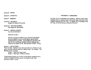Section D - SPURIA

Section E - LOUISIANA

Section F - SIBERIAN

Section G\* - BULBOUS (Eligible for limited AIS awards)

Section H\* - RELATED GENERA (Not eligible for AIS awards)

Section <sup>1\*</sup> - MISCELLANEOUS Any iris not listed above

Section G. H, and  $I -$ 

Sections or groups for bulbous irises, collections and English boxes are eligible to receive award ribbons, special section awards and section rosettes. Award ribbons are included in the tally for Silver and Bronze Medal/Certificates although these entries are not eligible for the "Best Specimen of Show" Award.

# Section J - COLLECTIONS

Three (3) stalks. Exhibitors may enter more than one collection in each group, but each collection must be a different type; for example: Tall Bearded, Spuria, Louisiana.

Group I - Same type, same variety

Group 2 - Same type, 3 different varieties

\*Single blossom classes may not have award ribbons counted for Silver and Bronze MedaVCertificates and are not eligible for the "Best Specimen of Show" Award.

# DIVISION II - SEEDLINGS

Any type of iris not introduced into commerce. Must be entered under seedling number or registered name and must be made in the name of the originator (hybridizer) of the clone. To indicate type of seedling on the entry tag, use Section/Group as outlined in Division I.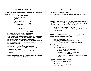#### DIVISION III - ARTISTIC DESIGN

All artistic design entries will be judged according to the American Iris Society point scale:

### AIS Scale of Points

| 1. Conformance to schedule | 10  |
|----------------------------|-----|
| 2. Design                  | 35  |
| 3. Color use               | 20  |
| 4. Creative expression     | 20  |
| 5. Distinction             | 15  |
| <b>Total Points</b>        | 100 |

# SPECIAL RULES

- I. Arrangements must be the work of the exhibitor, but the plant material need not have been grown by the exhibitor.
- 2. Exhibitors are limited to one entry in each class.
- 3. Iris must be used in all arrangements and must be the predominating feature. Iris of any type may be used, unless specified. Though not required, iris used may be identified on a separate card.
- 4. Dried or treated natural plant material is acceptable, but fresh material must predominate. No painted fresh material or artificial plant material is permitted.
- 5. No background boards may be used except in Section A. Backboards will be furnished by the Show Committee.
- 6. Interpretive accessories may be used, but must be subordinate. Use is required only if specified.
- 7. Containers should be marked on the underside with owner's name and address.
- 8. Exhibitors are responsible for maintaining arrangements in fresh, groomed condition after judging is completed and for removing exhibits promptly at the close of the show.

# IRIS 2002 - Flags Over America

This show is a tribute to our flag. Because of the resurgance of patriotism, we chose to honor the American Flag with our Iris Show.

Section A - Must be reserved, 8 entries only. Off-white backboards (32" high, 24" wide with two 12" wings) will be furnished. For reservations, call Joyce, 6238153502, no later than April 1st, 2002.

# Class 1 -IT'S A GRAND OLD FLAG

A tall arrangement, not to exceed 30" in height. The backboard may be draped.

**Section B** – Sun Country Iris Society members only. For novices (no first place ribbons won in previous shows).

#### Class 1 - OUR FIRST FLAG

Arrangement using a single iris stalk as the predominant feature and fresh foliage. Interpretive accessories may be used.

Section  $C -$  Open to all.

)

Ĵ.

J

#### Class 1 - BANNER BABIES

Smaller iris and other dainty blooms.

# Class 2 - REFLECTIONS OF OLD GLORY

Creative use of mirror(s) or visible water.

# Class 3 - STARS AND STRIPES

A centerpiece of the dinner table emphasizing red, white and blue colors.

Section  $D -$  Open only to those with professional flower arrangement and design experience or formal training.

> Class 1 - FLAGS OF HONOR Free interpretation.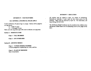### DIVISION IV - YOUTH ENTRIES

 $\star$ 

 $\mathbf{r}$ 

# ALL GENERAL AND SPECIAL RULES APPLY

Youth is defined as 18 years of age or younger. Entries will be judged in two age groups:

Y<sub>1</sub> - Under 12 years

Y2 - 12 through 18 years

Mark your entry tag in the upper left corner to indicate your age group.

Section A - HORTICULTURE

Class I - TALL BEARDED

Class 2 - ANY OTHER IRIS

# Section B - ARTISTIC DESIGN

Class 1 - YANKEE DOODLE DANDIES A floral arrangement emphasizing red, white, and blue.

Class 2 - FLAGS OF FREEDOM Open interpretation.

# DIVISION V - EDUCA TION

All exhibits must be related to irises, iris culture or hybridizing. Horticultu.al materials, if used, need not have been grown by the exhibitor. Space must be reserved by April 1st. For reservation, call Joyce Poling, 623 815-3503.

The AIS Bronze Medal Certificate may be awarded to the exhibitor of an educational exhibit found to be of outstanding merit by the judges of the show.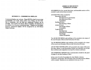# AMERICAN IRIS SOCIETY EXHIBITION AWARDS

AIS RIBBONS for first, second, third place, and honorable mention will be awarded in each cultivar/class as merited.

#### DIVISION VI - COMMERCIAL DISPLAYS

Commercial displays are welcome. Please RSVP by April 1st so we may accommodate your needs; please notify Avery Poling, 623 815-3503. Due to limitations, only one table per commercial exhibitor can be provided. Sun Country Iris Society Show Committee will determine if an exhibitor is to be given commercial status. Displays are not judged; however, commercial displays will be recognized by an AIS Bronze Medal Certificate.

AIS ROSETTES will be awarded for: Horticulture Division Best Specimen in each Section Best Specimen of Show Sweepstakes Seedling Division Best Seedling of Show Artistic Division Best Design of Show **Sweepstakes** Youth Division Best Specimen Horticultural Sweepstakes Best Design Artistic Sweepstakes

The AIS SILVER MEDAL and certificate will be awarded to the winner of the most first place ribbons in the Horticulture Division.

The AIS BRONZE MEDAL and certificate will be awarded to the winner of the second most first place ribbons in the Horticulture Division.

AIS SECTION CERTIFICATES will be awarded to the winner of the most first place ribbons in each Horticulture Section, provided there are at least three exhibitors and competition in at least five varieties (cultivars).

AIS EXHIBITION CERTIFICATE is automatically awarded by the panel of judges for the Best Seedling of Show.

In the event of a tie for Sweepstakes for either Medal or Section Certificates; second place, then third place, then honorable mention ribbons will be counted. Rosettes are not considered in the case of a tie.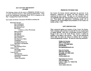# SUN COUNTRY IRIS SOCIETY AWARDS

The following winners will also receive a PREMIUM AWARD of a new or recently introduced rhizome or other gardening-related product. Those people and organizations contributing awards will be recognized at the May 7 meeting of Sun Country Iris Society.

Sun Country Iris Society will present AWARDS to exhibitors for:

Horticulture Division Best Tall Bearded Best Aril/Arilbred Best Median/Dwarf Best Spuria *In Memory of Betty Wickenkamp*  Best Louisiana Best Siberian Best Bulbous Best Miscellaneous Best Collection Best Specimen of Show Sweepstakes Sweepstakes Runner-up Best Black Tall Bearded Seedling Division Best Seedling of Show Artistic Division Best Design of Show Sweepstakes Youth Division Best Specimen Horticultural Sweepstakes Best Design Artistic Sweepstakes

# PREMIUM CONTRIBUTORS

Sun Country Iris Society sincerely appreciates the generosity of the hybridizers, commercial iris gardens, and other businesses which contributed our show awards. We hope you will remember them for your gardening needs and when purchasing your new iris rhizomes this year. Those people and organizations contributing awards will be recognized at the Awards Banquet and presentation of Sun Country Iris Society on May 7, 2002.

#### GIFT CERTIFICATES

Three commercial gardens are members of Sun Country Iris Society. Each is donating a gift certificate of at least \$40.00 to be awarded based on random drawing. Each entry in Horticulture Division, Sections A through F and J, and in the Youth Division, Section A entitles the exhibitor to one chance in the drawing. Thus, the more horticultural entries made, the greater the chances an exhibitor has of winning a commercial garden gift certificate. We thank the following contributors:

> Golden Iris Gardens 4564 E. Robin Drive Prescott, AZ 86301-5818 928-445-0503 barryaolden@hotmail.com

> Kary Iris Gardens 6201 East Calle Rosa Scottsdale, AZ 85251-4224 480-949-0253 ArdiKary@aol.com

Superstition Iris Gardens 2536 Old Highway Cathey's Valley, CA 95306-9738 209-966-6277 randrcv@sierratel.com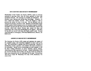### SUN COUNTRY IRIS SOCIETY MEMBERSHIP

Membership in Sun Country Iris Society (SCIS) is open to everyone interested in growing irises, from the home gardener to those with specialized interests. Our meetings are friendly and informative. Our members enjoy learning and sharing their knowledge. Primarily, we serve central and northern Arizona. SCIS was formed in 1969 to serve central and northern Arizona. promote the culture of irises in our area. We are affiliated with the American Iris Society. founded in 1920. Benefits of membership include monthly garden-related programs and an iris education segment; monthly newsletter with growing tips; door prizes and refreshments; projects and activities valley-wide; annual rhizome sale; annual iris show and competition; and, credit union membership (at your option). SCIS dues for the 2002 year are \$15 individual, \$20 family, and \$5 youth. Forward your SCIS dues to Al Sturgeon, 2940 West Hartford Drive, Phoenix, AZ 85053-2011

#### AMERICAN IRIS SOCIETY MEMBERSHIP

The American Iris Society (AIS) creates and maintains the register of iris, qualified judges, and competition standards for shows such as this one. AIS membership is separate from SCIS membership. Benefits of membership include a quarterly color bulletin with topics of interest to iris enthusiasts. Special section memberships are also available in AIS for those wishing information on spuria, louisiana, species, historic, reblooming and other specialized iris types. Annual membership is \$20 per year for individual, \$25 for dual; you can save money by joining for three years (triennial) at \$43 for individual, \$54 for dual. Forward your AIS dues to Anner M. Whitehead, P.O. Box 14750, Richmond, VA 23221-4750.